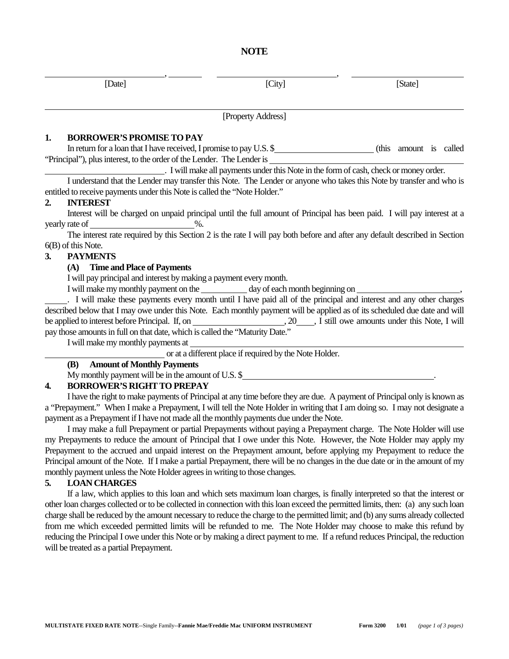| [Date] | [City] | [State] |
|--------|--------|---------|

**NOTE** 

[Property Address]

### **1. BORROWER'S PROMISE TO PAY**

 In return for a loan that I have received, I promise to pay U.S. \$ (this amount is called "Principal"), plus interest, to the order of the Lender. The Lender is

. I will make all payments under this Note in the form of cash, check or money order.

 I understand that the Lender may transfer this Note. The Lender or anyone who takes this Note by transfer and who is entitled to receive payments under this Note is called the "Note Holder."

### **2. INTEREST**

 $\overline{a}$ 

 Interest will be charged on unpaid principal until the full amount of Principal has been paid. I will pay interest at a yearly rate of  $\%$ .

 The interest rate required by this Section 2 is the rate I will pay both before and after any default described in Section 6(B) of this Note.

### **3. PAYMENTS**

### **(A) Time and Place of Payments**

I will pay principal and interest by making a payment every month.

I will make my monthly payment on the day of each month beginning on

. I will make these payments every month until I have paid all of the principal and interest and any other charges described below that I may owe under this Note. Each monthly payment will be applied as of its scheduled due date and will be applied to interest before Principal. If, on , 20 , I still owe amounts under this Note, I will pay those amounts in full on that date, which is called the "Maturity Date."

I will make my monthly payments at

or at a different place if required by the Note Holder.

# **(B) Amount of Monthly Payments**

My monthly payment will be in the amount of U.S. \$ .

# **4. BORROWER'S RIGHT TO PREPAY**

 I have the right to make payments of Principal at any time before they are due. A payment of Principal only is known as a "Prepayment." When I make a Prepayment, I will tell the Note Holder in writing that I am doing so. I may not designate a payment as a Prepayment if I have not made all the monthly payments due under the Note.

 I may make a full Prepayment or partial Prepayments without paying a Prepayment charge. The Note Holder will use my Prepayments to reduce the amount of Principal that I owe under this Note. However, the Note Holder may apply my Prepayment to the accrued and unpaid interest on the Prepayment amount, before applying my Prepayment to reduce the Principal amount of the Note. If I make a partial Prepayment, there will be no changes in the due date or in the amount of my monthly payment unless the Note Holder agrees in writing to those changes.

# **5. LOAN CHARGES**

 If a law, which applies to this loan and which sets maximum loan charges, is finally interpreted so that the interest or other loan charges collected or to be collected in connection with this loan exceed the permitted limits, then: (a) any such loan charge shall be reduced by the amount necessary to reduce the charge to the permitted limit; and (b) any sums already collected from me which exceeded permitted limits will be refunded to me. The Note Holder may choose to make this refund by reducing the Principal I owe under this Note or by making a direct payment to me. If a refund reduces Principal, the reduction will be treated as a partial Prepayment.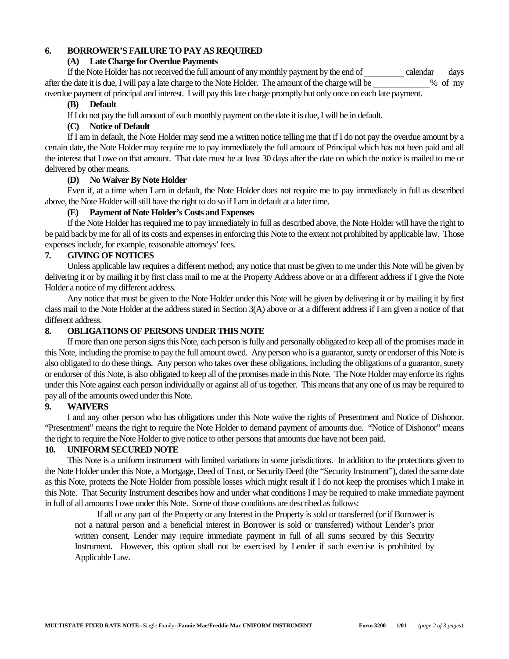# **6. BORROWER'S FAILURE TO PAY AS REQUIRED**

### **(A) Late Charge for Overdue Payments**

If the Note Holder has not received the full amount of any monthly payment by the end of calendar days after the date it is due, I will pay a late charge to the Note Holder. The amount of the charge will be % of my overdue payment of principal and interest. I will pay this late charge promptly but only once on each late payment.

### **(B) Default**

If I do not pay the full amount of each monthly payment on the date it is due, I will be in default.

# **(C) Notice of Default**

 If I am in default, the Note Holder may send me a written notice telling me that if I do not pay the overdue amount by a certain date, the Note Holder may require me to pay immediately the full amount of Principal which has not been paid and all the interest that I owe on that amount. That date must be at least 30 days after the date on which the notice is mailed to me or delivered by other means.

# **(D) No Waiver By Note Holder**

 Even if, at a time when I am in default, the Note Holder does not require me to pay immediately in full as described above, the Note Holder will still have the right to do so if I am in default at a later time.

# **(E) Payment of Note Holder's Costs and Expenses**

 If the Note Holder has required me to pay immediately in full as described above, the Note Holder will have the right to be paid back by me for all of its costs and expenses in enforcing this Note to the extent not prohibited by applicable law. Those expenses include, for example, reasonable attorneys' fees.

# **7. GIVING OF NOTICES**

 Unless applicable law requires a different method, any notice that must be given to me under this Note will be given by delivering it or by mailing it by first class mail to me at the Property Address above or at a different address if I give the Note Holder a notice of my different address.

 Any notice that must be given to the Note Holder under this Note will be given by delivering it or by mailing it by first class mail to the Note Holder at the address stated in Section 3(A) above or at a different address if I am given a notice of that different address.

# **8. OBLIGATIONS OF PERSONS UNDER THIS NOTE**

 If more than one person signs this Note, each person is fully and personally obligated to keep all of the promises made in this Note, including the promise to pay the full amount owed. Any person who is a guarantor, surety or endorser of this Note is also obligated to do these things. Any person who takes over these obligations, including the obligations of a guarantor, surety or endorser of this Note, is also obligated to keep all of the promises made in this Note. The Note Holder may enforce its rights under this Note against each person individually or against all of us together. This means that any one of us may be required to pay all of the amounts owed under this Note.

# **9. WAIVERS**

 I and any other person who has obligations under this Note waive the rights of Presentment and Notice of Dishonor. "Presentment" means the right to require the Note Holder to demand payment of amounts due. "Notice of Dishonor" means the right to require the Note Holder to give notice to other persons that amounts due have not been paid.

# **10. UNIFORM SECURED NOTE**

 This Note is a uniform instrument with limited variations in some jurisdictions. In addition to the protections given to the Note Holder under this Note, a Mortgage, Deed of Trust, or Security Deed (the "Security Instrument"), dated the same date as this Note, protects the Note Holder from possible losses which might result if I do not keep the promises which I make in this Note. That Security Instrument describes how and under what conditions I may be required to make immediate payment in full of all amounts I owe under this Note. Some of those conditions are described as follows:

If all or any part of the Property or any Interest in the Property is sold or transferred (or if Borrower is not a natural person and a beneficial interest in Borrower is sold or transferred) without Lender's prior written consent, Lender may require immediate payment in full of all sums secured by this Security Instrument. However, this option shall not be exercised by Lender if such exercise is prohibited by Applicable Law.